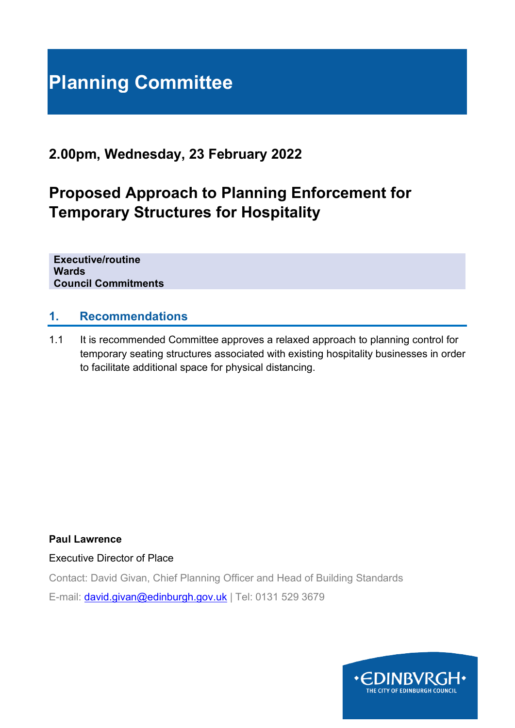# **Planning Committee**

## **2.00pm, Wednesday, 23 February 2022**

# **Proposed Approach to Planning Enforcement for Temporary Structures for Hospitality**

**Executive/routine Wards Council Commitments**

#### **1. Recommendations**

1.1 It is recommended Committee approves a relaxed approach to planning control for temporary seating structures associated with existing hospitality businesses in order to facilitate additional space for physical distancing.

**Paul Lawrence**

Executive Director of Place

Contact: David Givan, Chief Planning Officer and Head of Building Standards E-mail: [david.givan@edinburgh.gov.uk](mailto:david.givan@edinburgh.gov.uk) | Tel: 0131 529 3679

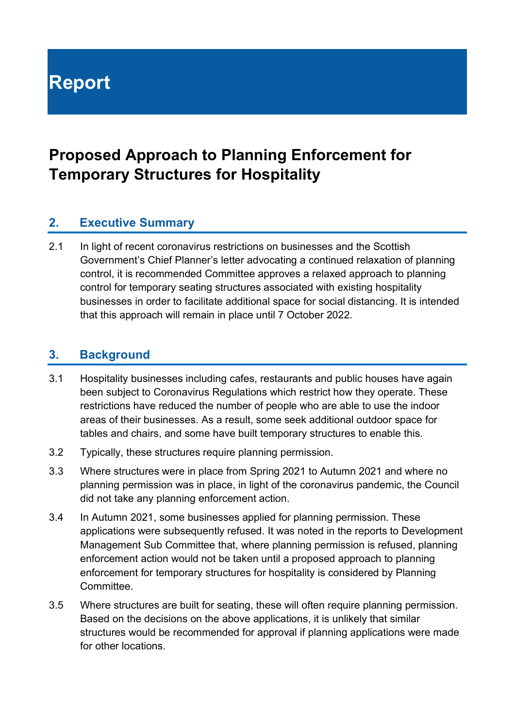# **Report**

# **Proposed Approach to Planning Enforcement for Temporary Structures for Hospitality**

#### **2. Executive Summary**

2.1 In light of recent coronavirus restrictions on businesses and the Scottish Government's Chief Planner's letter advocating a continued relaxation of planning control, it is recommended Committee approves a relaxed approach to planning control for temporary seating structures associated with existing hospitality businesses in order to facilitate additional space for social distancing. It is intended that this approach will remain in place until 7 October 2022.

#### **3. Background**

- 3.1 Hospitality businesses including cafes, restaurants and public houses have again been subject to Coronavirus Regulations which restrict how they operate. These restrictions have reduced the number of people who are able to use the indoor areas of their businesses. As a result, some seek additional outdoor space for tables and chairs, and some have built temporary structures to enable this.
- 3.2 Typically, these structures require planning permission.
- 3.3 Where structures were in place from Spring 2021 to Autumn 2021 and where no planning permission was in place, in light of the coronavirus pandemic, the Council did not take any planning enforcement action.
- 3.4 In Autumn 2021, some businesses applied for planning permission. These applications were subsequently refused. It was noted in the reports to Development Management Sub Committee that, where planning permission is refused, planning enforcement action would not be taken until a proposed approach to planning enforcement for temporary structures for hospitality is considered by Planning Committee.
- 3.5 Where structures are built for seating, these will often require planning permission. Based on the decisions on the above applications, it is unlikely that similar structures would be recommended for approval if planning applications were made for other locations.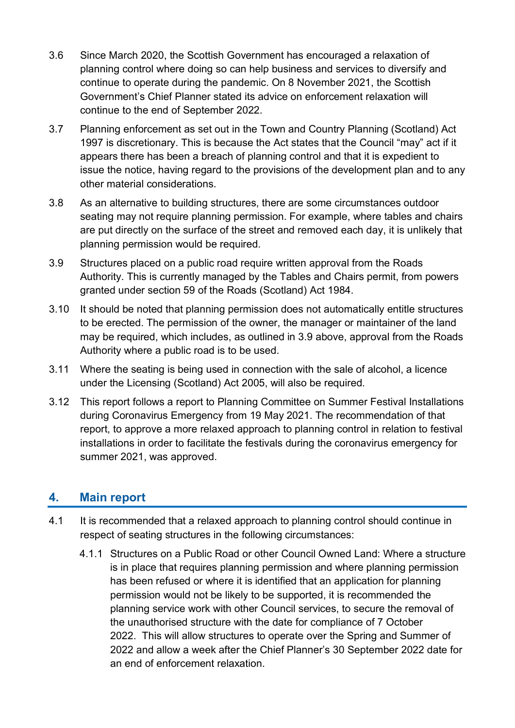- 3.6 Since March 2020, the Scottish Government has encouraged a relaxation of planning control where doing so can help business and services to diversify and continue to operate during the pandemic. On 8 November 2021, the Scottish Government's Chief Planner stated its advice on enforcement relaxation will continue to the end of September 2022.
- 3.7 Planning enforcement as set out in the Town and Country Planning (Scotland) Act 1997 is discretionary. This is because the Act states that the Council "may" act if it appears there has been a breach of planning control and that it is expedient to issue the notice, having regard to the provisions of the development plan and to any other material considerations.
- 3.8 As an alternative to building structures, there are some circumstances outdoor seating may not require planning permission. For example, where tables and chairs are put directly on the surface of the street and removed each day, it is unlikely that planning permission would be required.
- 3.9 Structures placed on a public road require written approval from the Roads Authority. This is currently managed by the Tables and Chairs permit, from powers granted under section 59 of the Roads (Scotland) Act 1984.
- 3.10 It should be noted that planning permission does not automatically entitle structures to be erected. The permission of the owner, the manager or maintainer of the land may be required, which includes, as outlined in 3.9 above, approval from the Roads Authority where a public road is to be used.
- 3.11 Where the seating is being used in connection with the sale of alcohol, a licence under the Licensing (Scotland) Act 2005, will also be required.
- 3.12 This report follows a report to Planning Committee on Summer Festival Installations during Coronavirus Emergency from 19 May 2021. The recommendation of that report, to approve a more relaxed approach to planning control in relation to festival installations in order to facilitate the festivals during the coronavirus emergency for summer 2021, was approved.

#### **4. Main report**

- 4.1 It is recommended that a relaxed approach to planning control should continue in respect of seating structures in the following circumstances:
	- 4.1.1 Structures on a Public Road or other Council Owned Land: Where a structure is in place that requires planning permission and where planning permission has been refused or where it is identified that an application for planning permission would not be likely to be supported, it is recommended the planning service work with other Council services, to secure the removal of the unauthorised structure with the date for compliance of 7 October 2022. This will allow structures to operate over the Spring and Summer of 2022 and allow a week after the Chief Planner's 30 September 2022 date for an end of enforcement relaxation.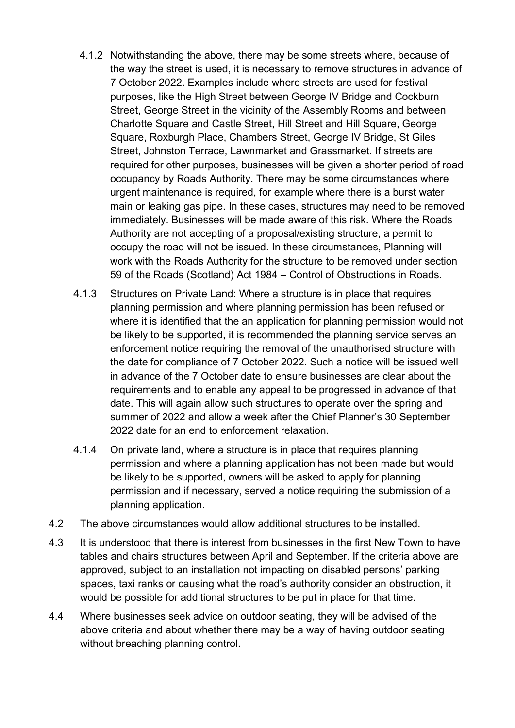- 4.1.2 Notwithstanding the above, there may be some streets where, because of the way the street is used, it is necessary to remove structures in advance of 7 October 2022. Examples include where streets are used for festival purposes, like the High Street between George IV Bridge and Cockburn Street, George Street in the vicinity of the Assembly Rooms and between Charlotte Square and Castle Street, Hill Street and Hill Square, George Square, Roxburgh Place, Chambers Street, George IV Bridge, St Giles Street, Johnston Terrace, Lawnmarket and Grassmarket. If streets are required for other purposes, businesses will be given a shorter period of road occupancy by Roads Authority. There may be some circumstances where urgent maintenance is required, for example where there is a burst water main or leaking gas pipe. In these cases, structures may need to be removed immediately. Businesses will be made aware of this risk. Where the Roads Authority are not accepting of a proposal/existing structure, a permit to occupy the road will not be issued. In these circumstances, Planning will work with the Roads Authority for the structure to be removed under section 59 of the Roads (Scotland) Act 1984 – Control of Obstructions in Roads.
- 4.1.3 Structures on Private Land: Where a structure is in place that requires planning permission and where planning permission has been refused or where it is identified that the an application for planning permission would not be likely to be supported, it is recommended the planning service serves an enforcement notice requiring the removal of the unauthorised structure with the date for compliance of 7 October 2022. Such a notice will be issued well in advance of the 7 October date to ensure businesses are clear about the requirements and to enable any appeal to be progressed in advance of that date. This will again allow such structures to operate over the spring and summer of 2022 and allow a week after the Chief Planner's 30 September 2022 date for an end to enforcement relaxation.
- 4.1.4 On private land, where a structure is in place that requires planning permission and where a planning application has not been made but would be likely to be supported, owners will be asked to apply for planning permission and if necessary, served a notice requiring the submission of a planning application.
- 4.2 The above circumstances would allow additional structures to be installed.
- 4.3 It is understood that there is interest from businesses in the first New Town to have tables and chairs structures between April and September. If the criteria above are approved, subject to an installation not impacting on disabled persons' parking spaces, taxi ranks or causing what the road's authority consider an obstruction, it would be possible for additional structures to be put in place for that time.
- 4.4 Where businesses seek advice on outdoor seating, they will be advised of the above criteria and about whether there may be a way of having outdoor seating without breaching planning control.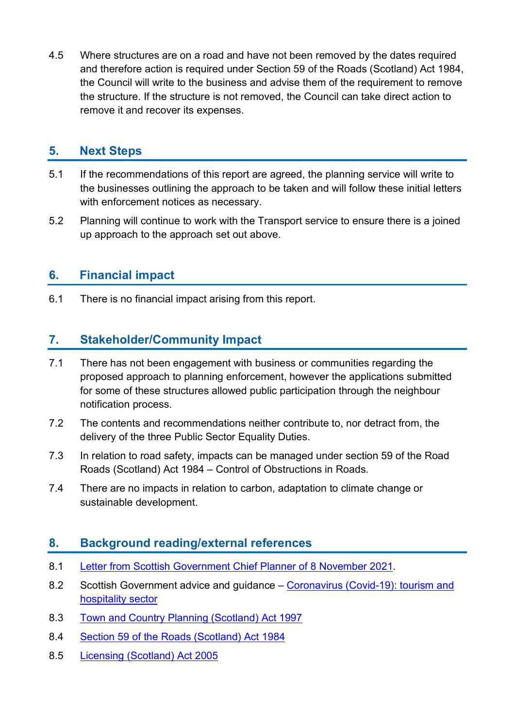4.5 Where structures are on a road and have not been removed by the dates required and therefore action is required under Section 59 of the Roads (Scotland) Act 1984, the Council will write to the business and advise them of the requirement to remove the structure. If the structure is not removed, the Council can take direct action to remove it and recover its expenses.

### **5. Next Steps**

- 5.1 If the recommendations of this report are agreed, the planning service will write to the businesses outlining the approach to be taken and will follow these initial letters with enforcement notices as necessary.
- 5.2 Planning will continue to work with the Transport service to ensure there is a joined up approach to the approach set out above.

### **6. Financial impact**

6.1 There is no financial impact arising from this report.

#### **7. Stakeholder/Community Impact**

- 7.1 There has not been engagement with business or communities regarding the proposed approach to planning enforcement, however the applications submitted for some of these structures allowed public participation through the neighbour notification process.
- 7.2 The contents and recommendations neither contribute to, nor detract from, the delivery of the three Public Sector Equality Duties.
- 7.3 In relation to road safety, impacts can be managed under section 59 of the Road Roads (Scotland) Act 1984 – Control of Obstructions in Roads.
- 7.4 There are no impacts in relation to carbon, adaptation to climate change or sustainable development.

#### **8. Background reading/external references**

- 8.1 [Letter from Scottish Government Chief Planner of 8 November 2021.](https://www.gov.scot/publications/chief-planner-letter-stakeholder-update-november-2021/)
- 8.2 Scottish Government advice and guidance [Coronavirus \(Covid-19\): tourism and](https://www.gov.scot/publications/coronavirus-covid-19-tourism-and-hospitality-sector-guidance/)  [hospitality sector](https://www.gov.scot/publications/coronavirus-covid-19-tourism-and-hospitality-sector-guidance/)
- 8.3 [Town and Country Planning \(Scotland\) Act 1997](https://www.legislation.gov.uk/ukpga/1997/8/contents)
- 8.4 [Section 59 of the Roads \(Scotland\) Act 1984](https://www.legislation.gov.uk/ukpga/1984/54/section/59)
- 8.5 [Licensing \(Scotland\) Act 2005](https://www.legislation.gov.uk/asp/2005/16/contents)